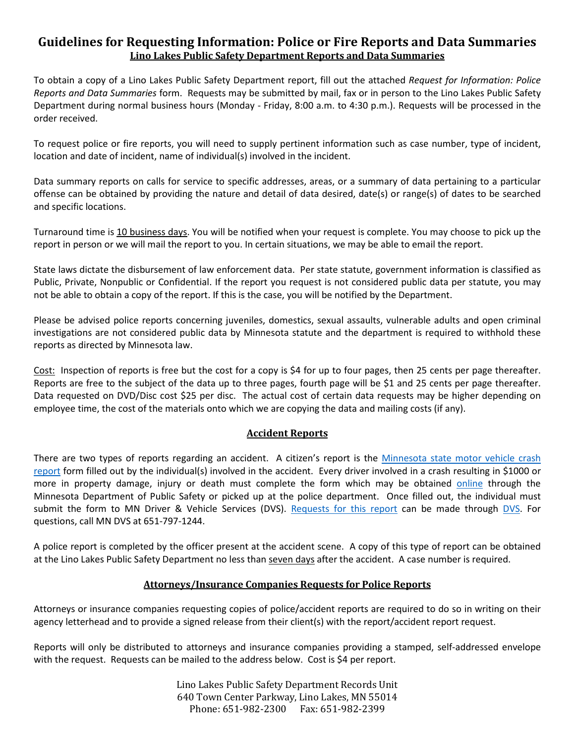## **Guidelines for Requesting Information: Police or Fire Reports and Data Summaries Lino Lakes Public Safety Department Reports and Data Summaries**

To obtain a copy of a Lino Lakes Public Safety Department report, fill out the attached *Request for Information: Police Reports and Data Summaries* form. Requests may be submitted by mail, fax or in person to the Lino Lakes Public Safety Department during normal business hours (Monday - Friday, 8:00 a.m. to 4:30 p.m.). Requests will be processed in the order received.

To request police or fire reports, you will need to supply pertinent information such as case number, type of incident, location and date of incident, name of individual(s) involved in the incident.

Data summary reports on calls for service to specific addresses, areas, or a summary of data pertaining to a particular offense can be obtained by providing the nature and detail of data desired, date(s) or range(s) of dates to be searched and specific locations.

Turnaround time is 10 business days. You will be notified when your request is complete. You may choose to pick up the report in person or we will mail the report to you. In certain situations, we may be able to email the report.

State laws dictate the disbursement of law enforcement data. Per state statute, government information is classified as Public, Private, Nonpublic or Confidential. If the report you request is not considered public data per statute, you may not be able to obtain a copy of the report. If this is the case, you will be notified by the Department.

Please be advised police reports concerning juveniles, domestics, sexual assaults, vulnerable adults and open criminal investigations are not considered public data by Minnesota statute and the department is required to withhold these reports as directed by Minnesota law.

Cost: Inspection of reports is free but the cost for a copy is \$4 for up to four pages, then 25 cents per page thereafter. Reports are free to the subject of the data up to three pages, fourth page will be \$1 and 25 cents per page thereafter. Data requested on DVD/Disc cost \$25 per disc. The actual cost of certain data requests may be higher depending on employee time, the cost of the materials onto which we are copying the data and mailing costs (if any).

## **Accident Reports**

There are two types of reports regarding an accident. A citizen's report is the [Minnesota state motor vehicle crash](https://dps.mn.gov/divisions/dvs/forms-documents/Documents/MinnesotaMotorVehicleAccidentReport.pdf)  [report](https://dps.mn.gov/divisions/dvs/forms-documents/Documents/MinnesotaMotorVehicleAccidentReport.pdf) form filled out by the individual(s) involved in the accident. Every driver involved in a crash resulting in \$1000 or more in property damage, injury or death must complete the form which may be obtained [online](https://dps.mn.gov/divisions/dvs/forms-documents/Documents/MinnesotaMotorVehicleAccidentReport.pdf) through the Minnesota Department of Public Safety or picked up at the police department. Once filled out, the individual must submit the form to MN Driver & Vehicle Services (DVS). [Requests for this report](https://dps.mn.gov/divisions/dvs/forms-documents/Documents/CrashRecordRequestForm.pdf) can be made through [DVS.](https://dps.mn.gov/divisions/dvs/Pages/default.aspx) For questions, call MN DVS at 651-797-1244.

A police report is completed by the officer present at the accident scene. A copy of this type of report can be obtained at the Lino Lakes Public Safety Department no less than seven days after the accident. A case number is required.

## **Attorneys/Insurance Companies Requests for Police Reports**

Attorneys or insurance companies requesting copies of police/accident reports are required to do so in writing on their agency letterhead and to provide a signed release from their client(s) with the report/accident report request.

Reports will only be distributed to attorneys and insurance companies providing a stamped, self-addressed envelope with the request. Requests can be mailed to the address below. Cost is \$4 per report.

> Lino Lakes Public Safety Department Records Unit 640 Town Center Parkway, Lino Lakes, MN 55014 Phone: 651-982-2300 Fax: 651-982-2399